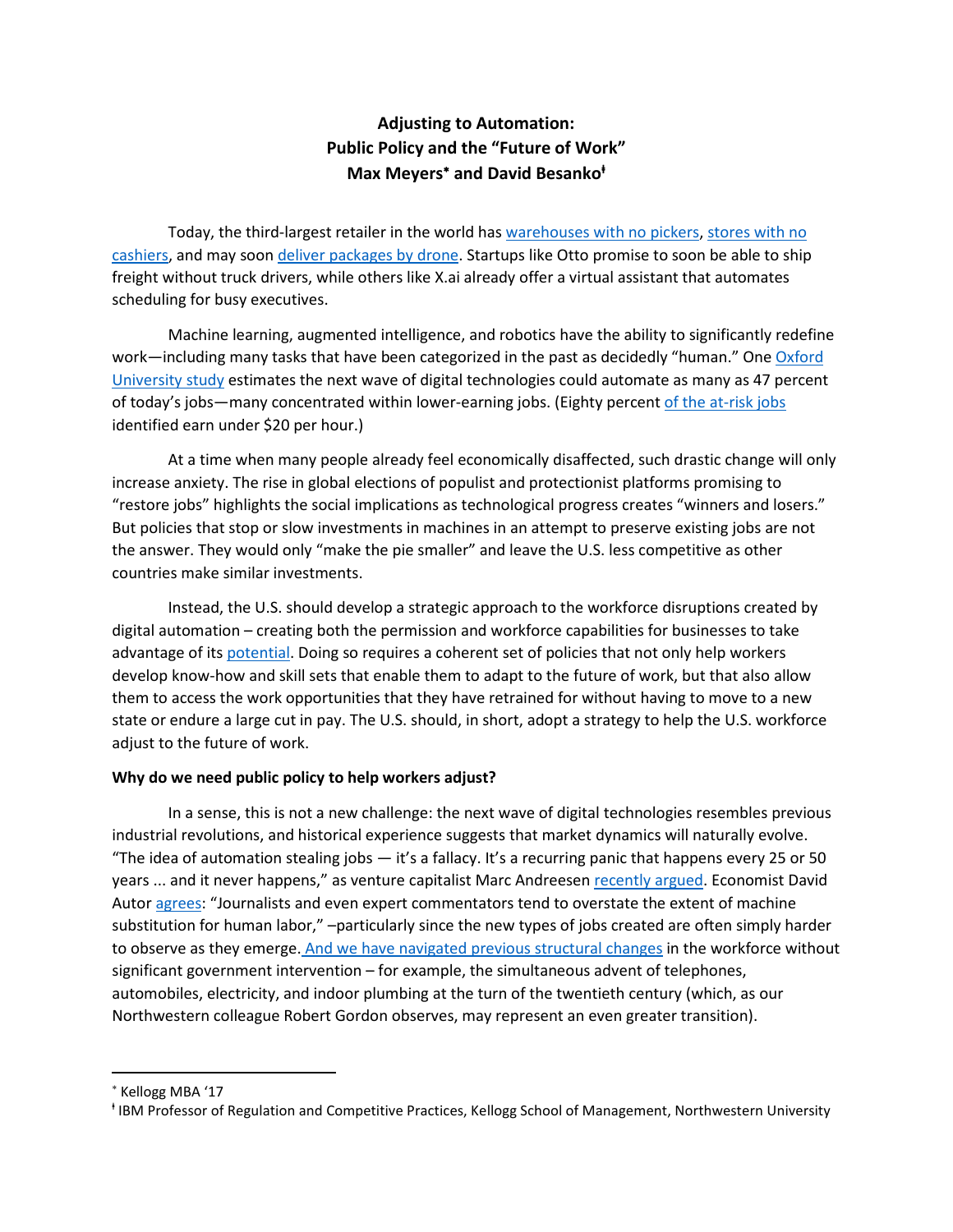# **Adjusting to Automation: Public Policy and the "Future of Work" Max Meyers**<sup>∗</sup> **and David Besanko<sup>ⱡ</sup>**

Today, the third-largest retailer in the world has [warehouses with no pickers,](https://www.youtube.com/watch?v=UtBa9yVZBJM) [stores with no](https://www.youtube.com/watch?v=NrmMk1Myrxc)  [cashiers,](https://www.youtube.com/watch?v=NrmMk1Myrxc) and may soo[n deliver packages by drone.](https://www.youtube.com/watch?v=vNySOrI2Ny8) Startups like Otto promise to soon be able to ship freight without truck drivers, while others like X.ai already offer a virtual assistant that automates scheduling for busy executives.

Machine learning, augmented intelligence, and robotics have the ability to significantly redefine work—including many tasks that have been categorized in the past as decidedly "human." One Oxford [University study](http://www.oxfordmartin.ox.ac.uk/downloads/academic/The_Future_of_Employment.pdf) estimates the next wave of digital technologies could automate as many as 47 percent of today's jobs—many concentrated within lower-earning jobs. (Eighty percent [of the at-risk jobs](https://obamawhitehouse.archives.gov/sites/default/files/page/files/20160707_cea_ai_furman.pdf) identified earn under \$20 per hour.)

At a time when many people already feel economically disaffected, such drastic change will only increase anxiety. The rise in global elections of populist and protectionist platforms promising to "restore jobs" highlights the social implications as technological progress creates "winners and losers." But policies that stop or slow investments in machines in an attempt to preserve existing jobs are not the answer. They would only "make the pie smaller" and leave the U.S. less competitive as other countries make similar investments.

Instead, the U.S. should develop a strategic approach to the workforce disruptions created by digital automation – creating both the permission and workforce capabilities for businesses to take advantage of its [potential.](http://cep.lse.ac.uk/pubs/download/dp1335.pdf) Doing so requires a coherent set of policies that not only help workers develop know-how and skill sets that enable them to adapt to the future of work, but that also allow them to access the work opportunities that they have retrained for without having to move to a new state or endure a large cut in pay. The U.S. should, in short, adopt a strategy to help the U.S. workforce adjust to the future of work.

# **Why do we need public policy to help workers adjust?**

In a sense, this is not a new challenge: the next wave of digital technologies resembles previous industrial revolutions, and historical experience suggests that market dynamics will naturally evolve. "The idea of automation stealing jobs  $-$  it's a fallacy. It's a recurring panic that happens every 25 or 50 years ... and it never happens," as venture capitalist Marc Andreesen [recently argued.](https://www.recode.net/2017/5/30/15693382/marc-andreessen-automation-jobs-code-2017) Economist David Autor [agrees:](https://economics.mit.edu/files/11563) "Journalists and even expert commentators tend to overstate the extent of machine substitution for human labor," –particularly since the new types of jobs created are often simply harder to observe as they emerge. And we have navigated [previous structural changes](http://www.oxfordmartin.ox.ac.uk/downloads/academic/The_Future_of_Employment.pdf) in the workforce without significant government intervention – for example, the simultaneous advent of telephones, automobiles, electricity, and indoor plumbing at the turn of the twentieth century (which, as our Northwestern colleague Robert Gordon observes, may represent an even greater transition).

l

<sup>∗</sup> Kellogg MBA '17

<sup>ⱡ</sup> IBM Professor of Regulation and Competitive Practices, Kellogg School of Management, Northwestern University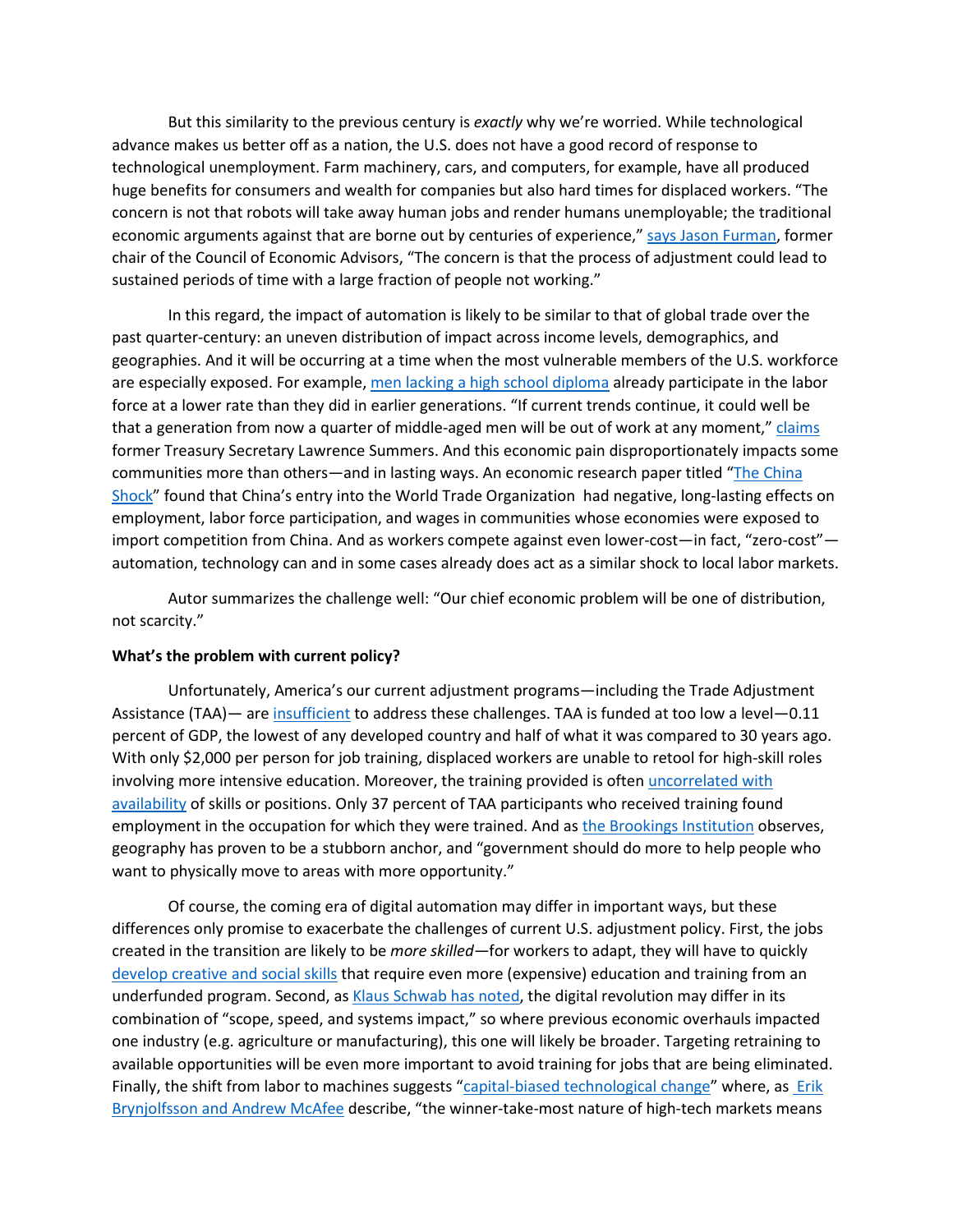But this similarity to the previous century is *exactly* why we're worried. While technological advance makes us better off as a nation, the U.S. does not have a good record of response to technological unemployment. Farm machinery, cars, and computers, for example, have all produced huge benefits for consumers and wealth for companies but also hard times for displaced workers. "The concern is not that robots will take away human jobs and render humans unemployable; the traditional economic arguments against that are borne out by centuries of experience," [says Jason Furman,](https://obamawhitehouse.archives.gov/sites/default/files/page/files/20160707_cea_ai_furman.pdf) former chair of the Council of Economic Advisors, "The concern is that the process of adjustment could lead to sustained periods of time with a large fraction of people not working."

In this regard, the impact of automation is likely to be similar to that of global trade over the past quarter-century: an uneven distribution of impact across income levels, demographics, and geographies. And it will be occurring at a time when the most vulnerable members of the U.S. workforce are especially exposed. For example, [men lacking a high school diploma](https://obamawhitehouse.archives.gov/sites/default/files/page/files/20160620_cea_primeage_male_lfp.pdf) already participate in the labor force at a lower rate than they did in earlier generations. "If current trends continue, it could well be that a generation from now a quarter of middle-aged men will be out of work at any moment," [claims](https://www.wsj.com/articles/lawrence-h-summers-on-the-economic-challenge-of-the-future-jobs-1404762501) former Treasury Secretary Lawrence Summers. And this economic pain disproportionately impacts some communities more than others—and in lasting ways. An economic research paper titled ["The China](http://www.ddorn.net/papers/Autor-Dorn-Hanson-ChinaShock.pdf)  [Shock"](http://www.ddorn.net/papers/Autor-Dorn-Hanson-ChinaShock.pdf) found that China's entry into the World Trade Organization had negative, long-lasting effects on employment, labor force participation, and wages in communities whose economies were exposed to import competition from China. And as workers compete against even lower-cost—in fact, "zero-cost" automation, technology can and in some cases already does act as a similar shock to local labor markets.

Autor summarizes the challenge well: "Our chief economic problem will be one of distribution, not scarcity."

### **What's the problem with current policy?**

Unfortunately, America's our current adjustment programs—including the Trade Adjustment Assistance (TAA)— ar[e insufficient](https://www.mathematica-mpr.com/our-publications-and-findings/projects/trade-adjustment-assistance-evaluation) to address these challenges. TAA is funded at too low a level—0.11 percent of GDP, the lowest of any developed country and half of what it was compared to 30 years ago. With only \$2,000 per person for job training, displaced workers are unable to retool for high-skill roles involving more intensive education. Moreover, the training provided is ofte[n uncorrelated with](http://www.heritage.org/jobs-and-labor/report/trade-adjustment-assistance-let-the-ineffective-and-wasteful-job-training)  [availability](http://www.heritage.org/jobs-and-labor/report/trade-adjustment-assistance-let-the-ineffective-and-wasteful-job-training) of skills or positions. Only 37 percent of TAA participants who received training found employment in the occupation for which they were trained. And as [the Brookings Institution](https://www.brookings.edu/blog/the-avenue/2017/01/10/maladjusted-its-time-to-reimagine-economic-adjustment-programs/) observes, geography has proven to be a stubborn anchor, and "government should do more to help people who want to physically move to areas with more opportunity."

Of course, the coming era of digital automation may differ in important ways, but these differences only promise to exacerbate the challenges of current U.S. adjustment policy. First, the jobs created in the transition are likely to be *more skilled—*for workers to adapt, they will have to quickly [develop creative and social skills](https://www2.deloitte.com/uk/en/pages/growth/articles/from-brawn-to-brains--the-impact-of-technology-on-jobs-in-the-u.html) that require even more (expensive) education and training from an underfunded program. Second, a[s Klaus Schwab has noted,](https://www.weforum.org/agenda/2016/01/the-fourth-industrial-revolution-what-it-means-and-how-to-respond/) the digital revolution may differ in its combination of "scope, speed, and systems impact," so where previous economic overhauls impacted one industry (e.g. agriculture or manufacturing), this one will likely be broader. Targeting retraining to available opportunities will be even more important to avoid training for jobs that are being eliminated. Finally, the shift from labor to machines suggests ["capital-biased technological change"](https://krugman.blogs.nytimes.com/2012/12/08/rise-of-the-robots/) where, as Erik Brynjolfsson [and Andrew McAfee](https://www.amazon.com/Second-Machine-Age-Prosperity-Technologies/dp/0393350649) describe, "the winner-take-most nature of high-tech markets means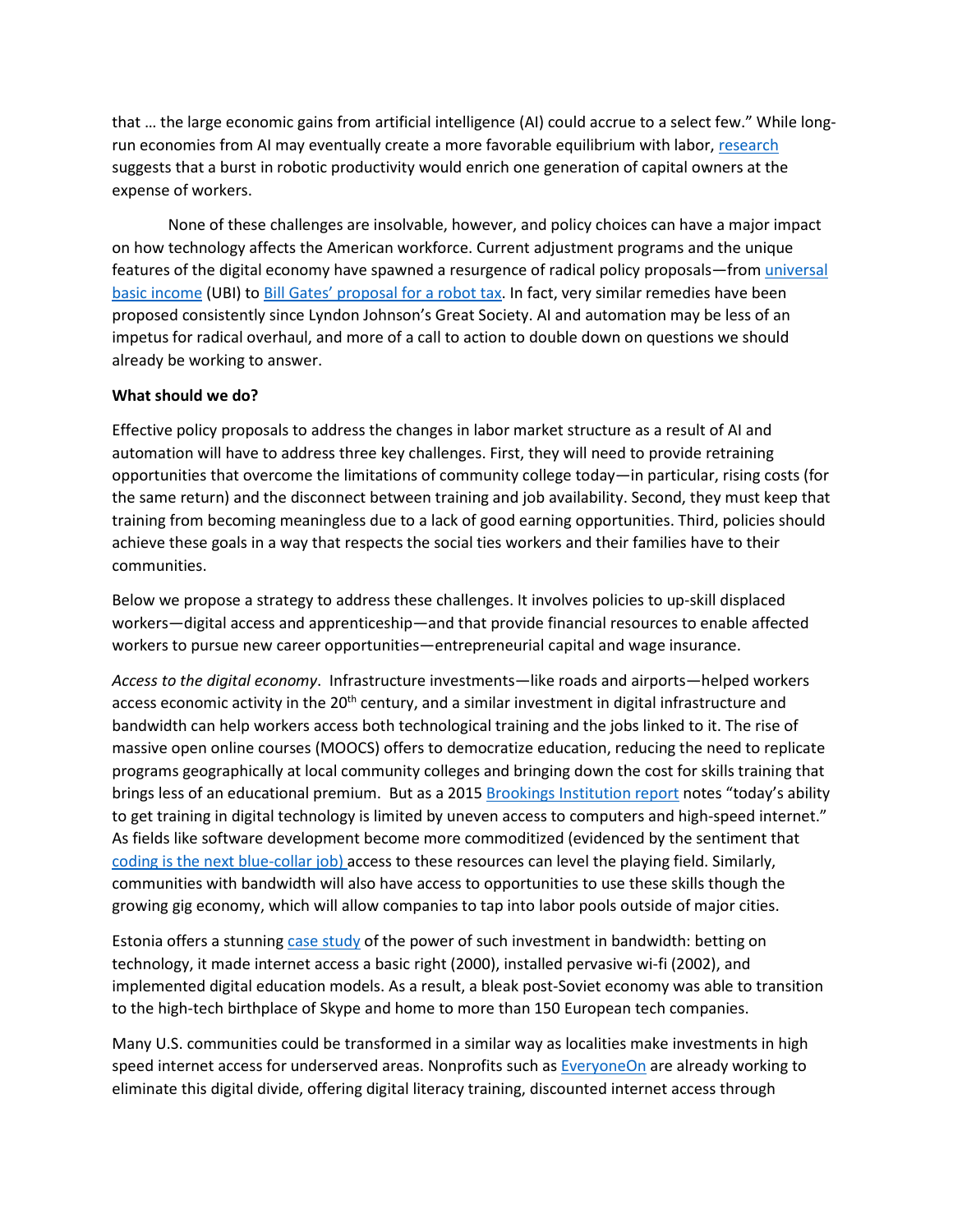that … the large economic gains from artificial intelligence (AI) could accrue to a select few." While long-run economies from AI may eventually create a more favorable equilibrium with labor[, research](http://www.nber.org/papers/w21091) suggests that a burst in robotic productivity would enrich one generation of capital owners at the expense of workers.

None of these challenges are insolvable, however, and policy choices can have a major impact on how technology affects the American workforce. Current adjustment programs and the unique features of the digital economy have spawned a resurgence of radical policy proposals—fro[m universal](https://www.nytimes.com/2017/02/23/magazine/universal-income-global-inequality.html?_r=0)  [basic income](https://www.nytimes.com/2017/02/23/magazine/universal-income-global-inequality.html?_r=0) (UBI) to [Bill Gates' proposal for a robot tax.](http://fortune.com/2017/02/18/bill-gates-robot-taxes-automation/) In fact, very similar remedies have been proposed consistently since Lyndon Johnson's Great Society. AI and automation may be less of an impetus for radical overhaul, and more of a call to action to double down on questions we should already be working to answer.

# **What should we do?**

Effective policy proposals to address the changes in labor market structure as a result of AI and automation will have to address three key challenges. First, they will need to provide retraining opportunities that overcome the limitations of community college today—in particular, rising costs (for the same return) and the disconnect between training and job availability. Second, they must keep that training from becoming meaningless due to a lack of good earning opportunities. Third, policies should achieve these goals in a way that respects the social ties workers and their families have to their communities.

Below we propose a strategy to address these challenges. It involves policies to up-skill displaced workers—digital access and apprenticeship—and that provide financial resources to enable affected workers to pursue new career opportunities—entrepreneurial capital and wage insurance.

*Access to the digital economy*. Infrastructure investments—like roads and airports—helped workers access economic activity in the 20<sup>th</sup> century, and a similar investment in digital infrastructure and bandwidth can help workers access both technological training and the jobs linked to it. The rise of massive open online courses (MOOCS) offers to democratize education, reducing the need to replicate programs geographically at local community colleges and bringing down the cost for skills training that brings less of an educational premium. But as a 2015 [Brookings Institution report](https://www.brookings.edu/wp-content/uploads/2016/06/robotwork.pdf) notes "today's ability to get training in digital technology is limited by uneven access to computers and high-speed internet." As fields like software development become more commoditized (evidenced by the sentiment that [coding is the next blue-collar job\)](https://www.wired.com/2017/02/programming-is-the-new-blue-collar-job/) access to these resources can level the playing field. Similarly, communities with bandwidth will also have access to opportunities to use these skills though the growing gig economy, which will allow companies to tap into labor pools outside of major cities.

Estonia offers a stunning [case study](http://www.economist.com/blogs/economist-explains/2013/07/economist-explains-21) of the power of such investment in bandwidth: betting on technology, it made internet access a basic right (2000), installed pervasive wi-fi (2002), and implemented digital education models. As a result, a bleak post-Soviet economy was able to transition to the high-tech birthplace of Skype and home to more than 150 European tech companies.

Many U.S. communities could be transformed in a similar way as localities make investments in high speed internet access for underserved areas. Nonprofits such a[s EveryoneOn](http://everyoneon.org/about/) are already working to eliminate this digital divide, offering digital literacy training, discounted internet access through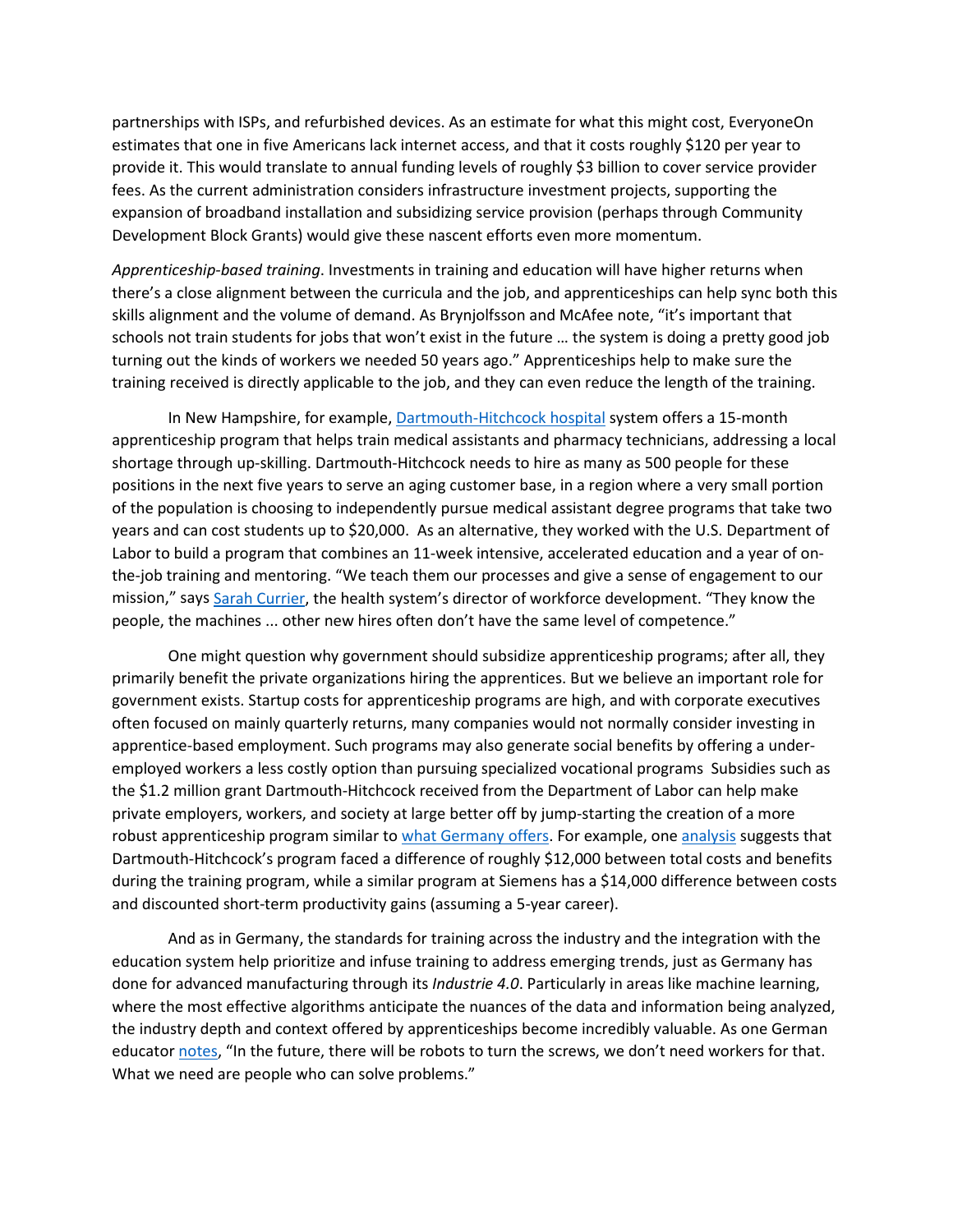partnerships with ISPs, and refurbished devices. As an estimate for what this might cost, EveryoneOn estimates that one in five Americans lack internet access, and that it costs roughly \$120 per year to provide it. This would translate to annual funding levels of roughly \$3 billion to cover service provider fees. As the current administration considers infrastructure investment projects, supporting the expansion of broadband installation and subsidizing service provision (perhaps through Community Development Block Grants) would give these nascent efforts even more momentum.

*Apprenticeship-based training*. Investments in training and education will have higher returns when there's a close alignment between the curricula and the job, and apprenticeships can help sync both this skills alignment and the volume of demand. As Brynjolfsson and McAfee note, "it's important that schools not train students for jobs that won't exist in the future … the system is doing a pretty good job turning out the kinds of workers we needed 50 years ago." Apprenticeships help to make sure the training received is directly applicable to the job, and they can even reduce the length of the training.

In New Hampshire, for example[, Dartmouth-Hitchcock hospital](https://www.usatoday.com/story/money/2016/03/23/apprenticeships-making-comeback/81802858/) system offers a 15-month apprenticeship program that helps train medical assistants and pharmacy technicians, addressing a local shortage through up-skilling. Dartmouth-Hitchcock needs to hire as many as 500 people for these positions in the next five years to serve an aging customer base, in a region where a very small portion of the population is choosing to independently pursue medical assistant degree programs that take two years and can cost students up to \$20,000. As an alternative, they worked with the U.S. Department of Labor to build a program that combines an 11-week intensive, accelerated education and a year of onthe-job training and mentoring. "We teach them our processes and give a sense of engagement to our mission," says [Sarah Currier,](https://www.usatoday.com/story/money/2016/03/23/apprenticeships-making-comeback/81802858/) the health system's director of workforce development. "They know the people, the machines ... other new hires often don't have the same level of competence."

One might question why government should subsidize apprenticeship programs; after all, they primarily benefit the private organizations hiring the apprentices. But we believe an important role for government exists. Startup costs for apprenticeship programs are high, and with corporate executives often focused on mainly quarterly returns, many companies would not normally consider investing in apprentice-based employment. Such programs may also generate social benefits by offering a underemployed workers a less costly option than pursuing specialized vocational programs Subsidies such as the \$1.2 million grant Dartmouth-Hitchcock received from the Department of Labor can help make private employers, workers, and society at large better off by jump-starting the creation of a more robust apprenticeship program similar to what [Germany offers.](https://www.theatlantic.com/business/archive/2014/10/why-germany-is-so-much-better-at-training-its-workers/381550/) For example, one [analysis](https://www.esa.gov/sites/default/files/the-benefits-and-costs-of-apprenticeships-a-business-perspective.pdf) suggests that Dartmouth-Hitchcock's program faced a difference of roughly \$12,000 between total costs and benefits during the training program, while a similar program at Siemens has a \$14,000 difference between costs and discounted short-term productivity gains (assuming a 5-year career).

And as in Germany, the standards for training across the industry and the integration with the education system help prioritize and infuse training to address emerging trends, just as Germany has done for advanced manufacturing through its *Industrie 4.0*. Particularly in areas like machine learning, where the most effective algorithms anticipate the nuances of the data and information being analyzed, the industry depth and context offered by apprenticeships become incredibly valuable. As one German educator [notes,](https://www.theatlantic.com/business/archive/2014/10/why-germany-is-so-much-better-at-training-its-workers/381550/) "In the future, there will be robots to turn the screws, we don't need workers for that. What we need are people who can solve problems."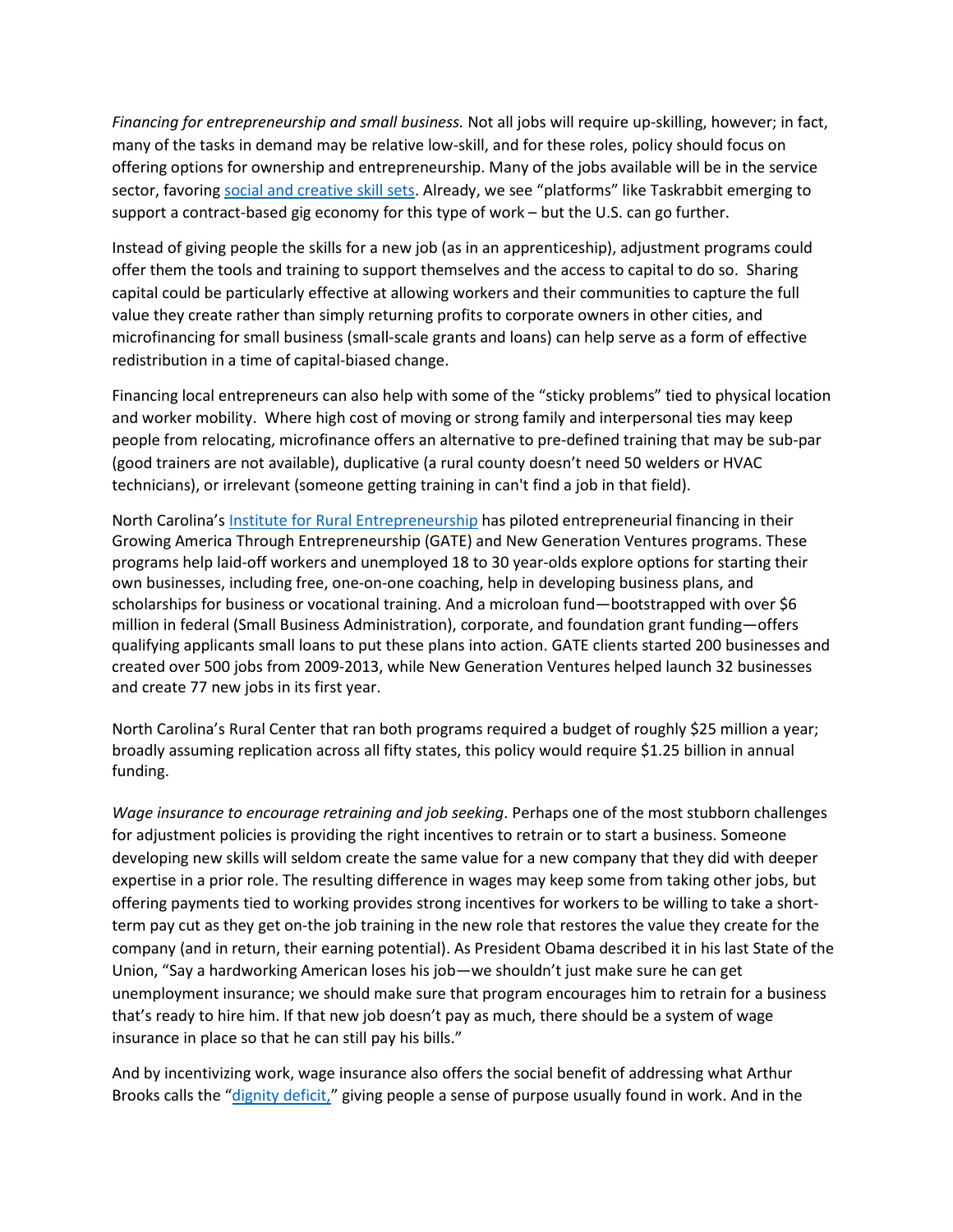*Financing for entrepreneurship and small business.* Not all jobs will require up-skilling, however; in fact, many of the tasks in demand may be relative low-skill, and for these roles, policy should focus on offering options for ownership and entrepreneurship. Many of the jobs available will be in the service sector, favoring [social and creative skill sets.](https://www2.deloitte.com/uk/en/pages/growth/articles/from-brawn-to-brains--the-impact-of-technology-on-jobs-in-the-u.html) Already, we see "platforms" like Taskrabbit emerging to support a contract-based gig economy for this type of work – but the U.S. can go further.

Instead of giving people the skills for a new job (as in an apprenticeship), adjustment programs could offer them the tools and training to support themselves and the access to capital to do so. Sharing capital could be particularly effective at allowing workers and their communities to capture the full value they create rather than simply returning profits to corporate owners in other cities, and microfinancing for small business (small-scale grants and loans) can help serve as a form of effective redistribution in a time of capital-biased change.

Financing local entrepreneurs can also help with some of the "sticky problems" tied to physical location and worker mobility. Where high cost of moving or strong family and interpersonal ties may keep people from relocating, microfinance offers an alternative to pre-defined training that may be sub-par (good trainers are not available), duplicative (a rural county doesn't need 50 welders or HVAC technicians), or irrelevant (someone getting training in can't find a job in that field).

North Carolina's [Institute for Rural](http://www.ncga.state.nc.us/documentsites/committees/govops/Full%20Commission/2013%20Meetings/2_October%202013/4.%20Mandated%20Reports/Natural%20&%20Economic%20Resources/State_Aid_Rural_Center_2013_Annual_Report.pdf) Entrepreneurship has piloted entrepreneurial financing in their Growing America Through Entrepreneurship (GATE) and New Generation Ventures programs. These programs help laid-off workers and unemployed 18 to 30 year-olds explore options for starting their own businesses, including free, one-on-one coaching, help in developing business plans, and scholarships for business or vocational training. And a microloan fund—bootstrapped with over \$6 million in federal (Small Business Administration), corporate, and foundation grant funding—offers qualifying applicants small loans to put these plans into action. GATE clients started 200 businesses and created over 500 jobs from 2009-2013, while New Generation Ventures helped launch 32 businesses and create 77 new jobs in its first year.

North Carolina's Rural Center that ran both programs required a budget of roughly \$25 million a year; broadly assuming replication across all fifty states, this policy would require \$1.25 billion in annual funding.

*Wage insurance to encourage retraining and job seeking*. Perhaps one of the most stubborn challenges for adjustment policies is providing the right incentives to retrain or to start a business. Someone developing new skills will seldom create the same value for a new company that they did with deeper expertise in a prior role. The resulting difference in wages may keep some from taking other jobs, but offering payments tied to working provides strong incentives for workers to be willing to take a shortterm pay cut as they get on-the job training in the new role that restores the value they create for the company (and in return, their earning potential). As President Obama described it in his last State of the Union, "Say a hardworking American loses his job—we shouldn't just make sure he can get unemployment insurance; we should make sure that program encourages him to retrain for a business that's ready to hire him. If that new job doesn't pay as much, there should be a system of wage insurance in place so that he can still pay his bills."

And by incentivizing work, wage insurance also offers the social benefit of addressing what Arthur Brooks calls the ["dignity deficit,](https://www.aei.org/publication/the-dignity-deficit-reclaiming-americans-sense-of-purpose/)" giving people a sense of purpose usually found in work. And in the